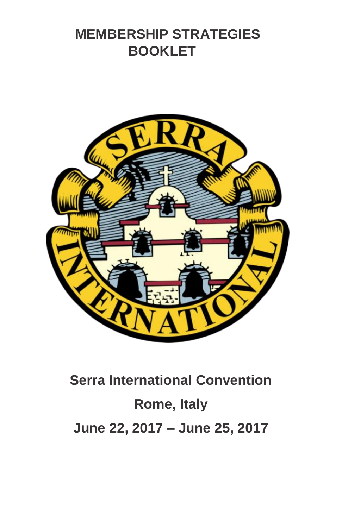## **MEMBERSHIP STRATEGIES BOOKLET**



# **Serra International Convention Rome, Italy June 22, 2017 – June 25, 2017**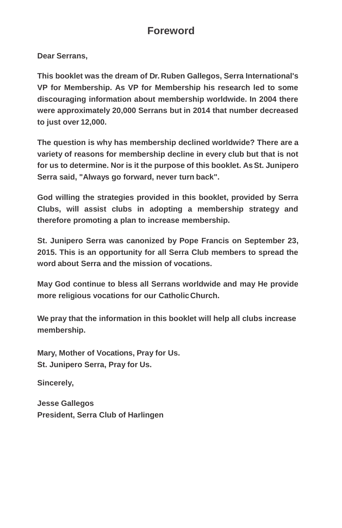### **Foreword**

**Dear Serrans,**

**This booklet was the dream of Dr. Ruben Gallegos, Serra International's VP for Membership. As VP for Membership his research led to some discouraging information about membership worldwide. In 2004 there were approximately 20,000 Serrans but in 2014 that number decreased to just over 12,000.**

**The question is why has membership declined worldwide? There are a variety of reasons for membership decline in every club but that is not for us to determine. Nor is it the purpose of this booklet. AsSt. Junipero Serra said, "Always go forward, never turn back".**

**God willing the strategies provided in this booklet, provided by Serra Clubs, will assist clubs in adopting a membership strategy and therefore promoting a plan to increase membership.**

**St. Junipero Serra was canonized by Pope Francis on September 23, 2015. This is an opportunity for all Serra Club members to spread the word about Serra and the mission of vocations.** 

**May God continue to bless all Serrans worldwide and may He provide more religious vocations for our CatholicChurch.**

**We pray that the information in this booklet will help all clubs increase membership.**

**Mary, Mother of Vocations, Pray for Us. St. Junipero Serra, Pray for Us.**

**Sincerely,**

**Jesse Gallegos President, Serra Club of Harlingen**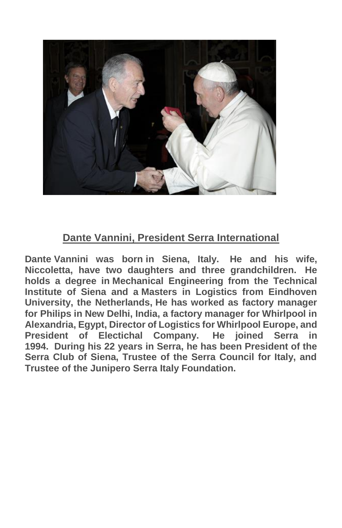

### **Dante Vannini, President Serra International**

**Dante Vannini was born in Siena, Italy. He and his wife, Niccoletta, have two daughters and three grandchildren. He holds a degree in Mechanical Engineering from the Technical Institute of Siena and a Masters in Logistics from Eindhoven University, the Netherlands, He has worked as factory manager for Philips in New Delhi, India, a factory manager for Whirlpool in Alexandria, Egypt, Director of Logistics for Whirlpool Europe, and President of Electichal Company. He joined Serra in 1994. During his 22 years in Serra, he has been President of the Serra Club of Siena, Trustee of the Serra Council for Italy, and Trustee of the Junipero Serra Italy Foundation.**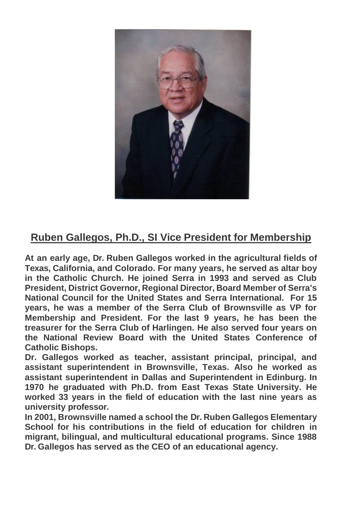

### **Ruben Gallegos, Ph.D., SI Vice President for Membership**

**At an early age, Dr. Ruben Gallegos worked in the agricultural fields of Texas, California, and Colorado. For many years, he served as altar boy in the Catholic Church. He joined Serra in 1993 and served as Club President, District Governor, Regional Director, Board Member of Serra's National Council for the United States and Serra International. For 15 years, he was a member of the Serra Club of Brownsville as VP for Membership and President. For the last 9 years, he has been the treasurer for the Serra Club of Harlingen. He also served four years on the National Review Board with the United States Conference of Catholic Bishops.** 

**Dr. Gallegos worked as teacher, assistant principal, principal, and assistant superintendent in Brownsville, Texas. Also he worked as assistant superintendent in Dallas and Superintendent in Edinburg. In 1970 he graduated with Ph.D. from East Texas State University. He worked 33 years in the field of education with the last nine years as university professor.** 

**In 2001, Brownsville named a school the Dr. Ruben Gallegos Elementary School for his contributions in the field of education for children in migrant, bilingual, and multicultural educational programs. Since 1988 Dr. Gallegos has served as the CEO of an educational agency.**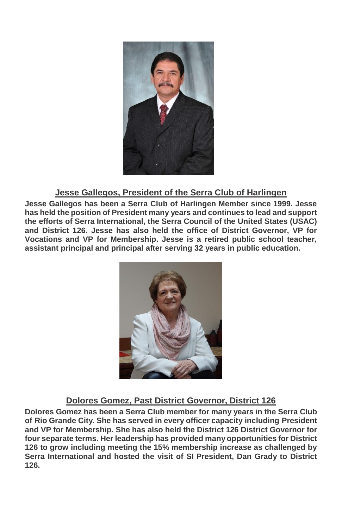

#### **Jesse Gallegos, President of the Serra Club of Harlingen**

**Jesse Gallegos has been a Serra Club of Harlingen Member since 1999. Jesse has held the position of President many years and continues to lead and support the efforts of Serra International, the Serra Council of the United States (USAC) and District 126. Jesse has also held the office of District Governor, VP for Vocations and VP for Membership. Jesse is a retired public school teacher, assistant principal and principal after serving 32 years in public education.**



#### **Dolores Gomez, Past District Governor, District 126**

**Dolores Gomez has been a Serra Club member for many years in the Serra Club of Rio Grande City. She has served in every officer capacity including President and VP for Membership. She has also held the District 126 District Governor for four separate terms. Her leadership has provided many opportunities for District 126 to grow including meeting the 15% membership increase as challenged by Serra International and hosted the visit of SI President, Dan Grady to District 126.**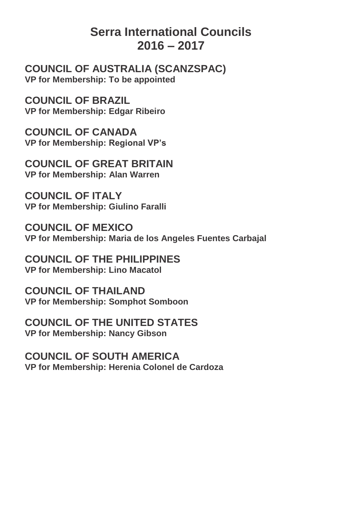### **Serra International Councils 2016 – 2017**

**COUNCIL OF AUSTRALIA (SCANZSPAC) VP for Membership: To be appointed**

**COUNCIL OF BRAZIL VP for Membership: Edgar Ribeiro**

**COUNCIL OF CANADA VP for Membership: Regional VP's**

**COUNCIL OF GREAT BRITAIN VP for Membership: Alan Warren**

**COUNCIL OF ITALY VP for Membership: Giulino Faralli**

**COUNCIL OF MEXICO VP for Membership: Maria de los Angeles Fuentes Carbajal**

**COUNCIL OF THE PHILIPPINES VP for Membership: Lino Macatol**

**COUNCIL OF THAILAND VP for Membership: Somphot Somboon**

**COUNCIL OF THE UNITED STATES VP for Membership: Nancy Gibson**

**COUNCIL OF SOUTH AMERICA VP for Membership: Herenia Colonel de Cardoza**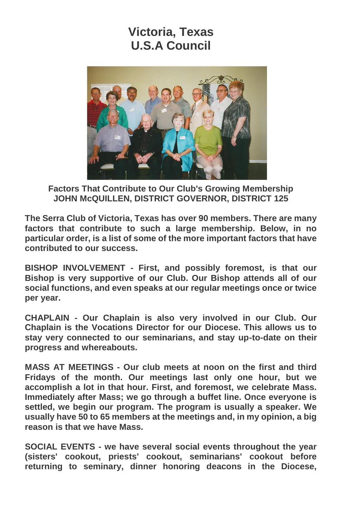### **Victoria, Texas U.S.A Council**



**Factors That Contribute to Our Club's Growing Membership JOHN McQUILLEN, DISTRICT GOVERNOR, DISTRICT 125**

**The Serra Club of Victoria, Texas has over 90 members. There are many factors that contribute to such a large membership. Below, in no particular order, is a list of some of the more important factors that have contributed to our success.**

**BISHOP INVOLVEMENT - First, and possibly foremost, is that our Bishop is very supportive of our Club. Our Bishop attends all of our social functions, and even speaks at our regular meetings once or twice per year.**

**CHAPLAIN - Our Chaplain is also very involved in our Club. Our Chaplain is the Vocations Director for our Diocese. This allows us to stay very connected to our seminarians, and stay up-to-date on their progress and whereabouts.**

**MASS AT MEETINGS - Our club meets at noon on the first and third Fridays of the month. Our meetings last only one hour, but we accomplish a lot in that hour. First, and foremost, we celebrate Mass. Immediately after Mass; we go through a buffet line. Once everyone is settled, we begin our program. The program is usually a speaker. We usually have 50 to 65 members at the meetings and, in my opinion, a big reason is that we have Mass.**

**SOCIAL EVENTS - we have several social events throughout the year (sisters' cookout, priests' cookout, seminarians' cookout before returning to seminary, dinner honoring deacons in the Diocese,**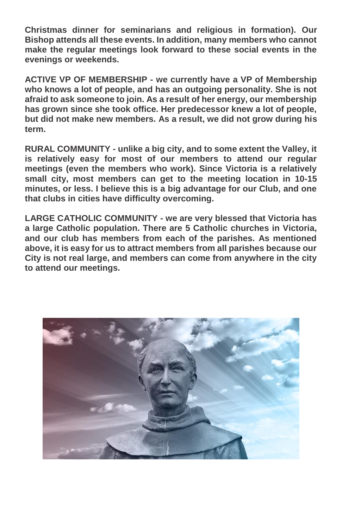**Christmas dinner for seminarians and religious in formation). Our Bishop attends all these events. In addition, many members who cannot make the regular meetings look forward to these social events in the evenings or weekends.**

**ACTIVE VP OF MEMBERSHIP - we currently have a VP of Membership who knows a lot of people, and has an outgoing personality. She is not afraid to ask someone to join. As a result of her energy, our membership has grown since she took office. Her predecessor knew a lot of people, but did not make new members. As a result, we did not grow during his term.**

**RURAL COMMUNITY - unlike a big city, and to some extent the Valley, it is relatively easy for most of our members to attend our regular meetings (even the members who work). Since Victoria is a relatively small city, most members can get to the meeting location in 10-15 minutes, or less. I believe this is a big advantage for our Club, and one that clubs in cities have difficulty overcoming.**

**LARGE CATHOLIC COMMUNITY - we are very blessed that Victoria has a large Catholic population. There are 5 Catholic churches in Victoria, and our club has members from each of the parishes. As mentioned above, it is easy for us to attract members from all parishes because our City is not real large, and members can come from anywhere in the city to attend our meetings.**

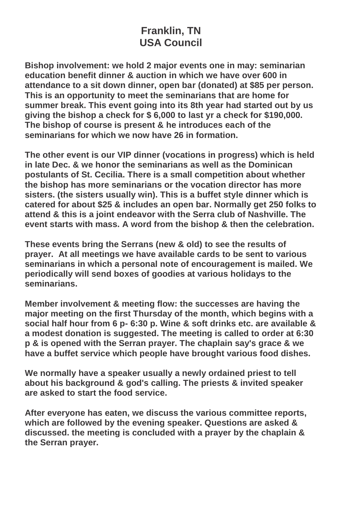### **Franklin, TN USA Council**

**Bishop involvement: we hold 2 major events one in may: seminarian education benefit dinner & auction in which we have over 600 in attendance to a sit down dinner, open bar (donated) at \$85 per person. This is an opportunity to meet the seminarians that are home for summer break. This event going into its 8th year had started out by us giving the bishop a check for \$ 6,000 to last yr a check for \$190,000. The bishop of course is present & he introduces each of the seminarians for which we now have 26 in formation.**

**The other event is our VIP dinner (vocations in progress) which is held in late Dec. & we honor the seminarians as well as the Dominican postulants of St. Cecilia. There is a small competition about whether the bishop has more seminarians or the vocation director has more sisters. (the sisters usually win). This is a buffet style dinner which is catered for about \$25 & includes an open bar. Normally get 250 folks to attend & this is a joint endeavor with the Serra club of Nashville. The event starts with mass. A word from the bishop & then the celebration.**

**These events bring the Serrans (new & old) to see the results of prayer. At all meetings we have available cards to be sent to various seminarians in which a personal note of encouragement is mailed. We periodically will send boxes of goodies at various holidays to the seminarians.**

**Member involvement & meeting flow: the successes are having the major meeting on the first Thursday of the month, which begins with a social half hour from 6 p- 6:30 p. Wine & soft drinks etc. are available & a modest donation is suggested. The meeting is called to order at 6:30 p & is opened with the Serran prayer. The chaplain say's grace & we have a buffet service which people have brought various food dishes.**

**We normally have a speaker usually a newly ordained priest to tell about his background & god's calling. The priests & invited speaker are asked to start the food service.**

**After everyone has eaten, we discuss the various committee reports, which are followed by the evening speaker. Questions are asked & discussed. the meeting is concluded with a prayer by the chaplain & the Serran prayer.**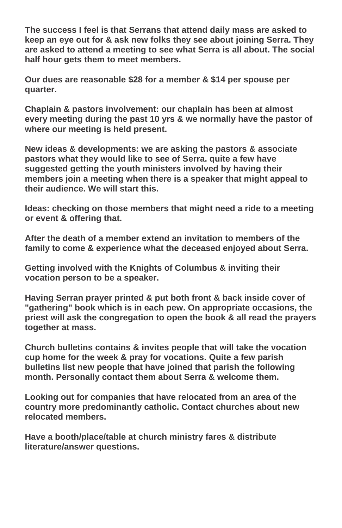**The success I feel is that Serrans that attend daily mass are asked to keep an eye out for & ask new folks they see about joining Serra. They are asked to attend a meeting to see what Serra is all about. The social half hour gets them to meet members.**

**Our dues are reasonable \$28 for a member & \$14 per spouse per quarter.**

**Chaplain & pastors involvement: our chaplain has been at almost every meeting during the past 10 yrs & we normally have the pastor of where our meeting is held present.**

**New ideas & developments: we are asking the pastors & associate pastors what they would like to see of Serra. quite a few have suggested getting the youth ministers involved by having their members join a meeting when there is a speaker that might appeal to their audience. We will start this.**

**Ideas: checking on those members that might need a ride to a meeting or event & offering that.**

**After the death of a member extend an invitation to members of the family to come & experience what the deceased enjoyed about Serra.**

**Getting involved with the Knights of Columbus & inviting their vocation person to be a speaker.**

**Having Serran prayer printed & put both front & back inside cover of "gathering" book which is in each pew. On appropriate occasions, the priest will ask the congregation to open the book & all read the prayers together at mass.**

**Church bulletins contains & invites people that will take the vocation cup home for the week & pray for vocations. Quite a few parish bulletins list new people that have joined that parish the following month. Personally contact them about Serra & welcome them.**

**Looking out for companies that have relocated from an area of the country more predominantly catholic. Contact churches about new relocated members.**

**Have a booth/place/table at church ministry fares & distribute literature/answer questions.**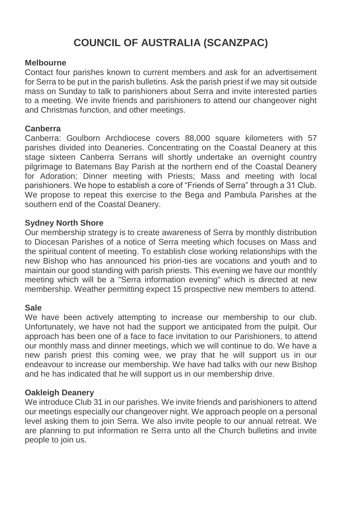### **COUNCIL OF AUSTRALIA (SCANZPAC)**

#### **Melbourne**

Contact four parishes known to current members and ask for an advertisement for Serra to be put in the parish bulletins. Ask the parish priest if we may sit outside mass on Sunday to talk to parishioners about Serra and invite interested parties to a meeting. We invite friends and parishioners to attend our changeover night and Christmas function, and other meetings.

#### **Canberra**

Canberra: Goulborn Archdiocese covers 88,000 square kilometers with 57 parishes divided into Deaneries. Concentrating on the Coastal Deanery at this stage sixteen Canberra Serrans will shortly undertake an overnight country pilgrimage to Batemans Bay Parish at the northern end of the Coastal Deanery for Adoration; Dinner meeting with Priests; Mass and meeting with local parishioners. We hope to establish a core of "Friends of Serra" through a 31 Club. We propose to repeat this exercise to the Bega and Pambula Parishes at the southern end of the Coastal Deanery.

#### **Sydney North Shore**

Our membership strategy is to create awareness of Serra by monthly distribution to Diocesan Parishes of a notice of Serra meeting which focuses on Mass and the spiritual content of meeting. To establish close working relationships with the new Bishop who has announced his priori-ties are vocations and youth and to maintain our good standing with parish priests. This evening we have our monthly meeting which will be a "Serra information evening" which is directed at new membership. Weather permitting expect 15 prospective new members to attend.

#### **Sale**

We have been actively attempting to increase our membership to our club. Unfortunately, we have not had the support we anticipated from the pulpit. Our approach has been one of a face to face invitation to our Parishioners, to attend our monthly mass and dinner meetings, which we will continue to do. We have a new parish priest this coming wee, we pray that he will support us in our endeavour to increase our membership. We have had talks with our new Bishop and he has indicated that he will support us in our membership drive.

#### **Oakleigh Deanery**

We introduce Club 31 in our parishes. We invite friends and parishioners to attend our meetings especially our changeover night. We approach people on a personal level asking them to join Serra. We also invite people to our annual retreat. We are planning to put information re Serra unto all the Church bulletins and invite people to join us.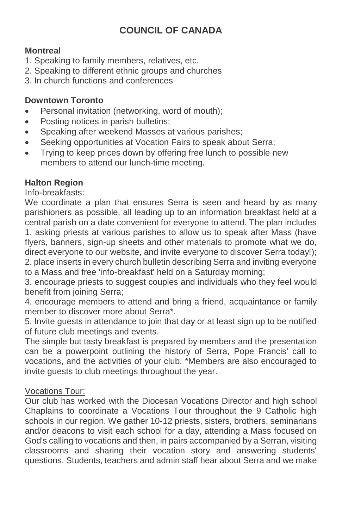### **COUNCIL OF CANADA**

#### **Montreal**

- 1. Speaking to family members, relatives, etc.
- 2. Speaking to different ethnic groups and churches
- 3. In church functions and conferences

#### **Downtown Toronto**

- Personal invitation (networking, word of mouth);
- Posting notices in parish bulletins;
- Speaking after weekend Masses at various parishes;
- Seeking opportunities at Vocation Fairs to speak about Serra;
- Trying to keep prices down by offering free lunch to possible new members to attend our lunch-time meeting.

#### **Halton Region**

Info-breakfasts:

We coordinate a plan that ensures Serra is seen and heard by as many parishioners as possible, all leading up to an information breakfast held at a central parish on a date convenient for everyone to attend. The plan includes 1. asking priests at various parishes to allow us to speak after Mass (have flyers, banners, sign-up sheets and other materials to promote what we do, direct everyone to our website, and invite everyone to discover Serra today!); 2. place inserts in every church bulletin describing Serra and inviting everyone to a Mass and free 'info-breakfast' held on a Saturday morning;

3. encourage priests to suggest couples and individuals who they feel would benefit from joining Serra;

4. encourage members to attend and bring a friend, acquaintance or family member to discover more about Serra\*.

5. Invite guests in attendance to join that day or at least sign up to be notified of future club meetings and events.

The simple but tasty breakfast is prepared by members and the presentation can be a powerpoint outlining the history of Serra, Pope Francis' call to vocations, and the activities of your club. \*Members are also encouraged to invite guests to club meetings throughout the year.

#### Vocations Tour:

Our club has worked with the Diocesan Vocations Director and high school Chaplains to coordinate a Vocations Tour throughout the 9 Catholic high schools in our region. We gather 10-12 priests, sisters, brothers, seminarians and/or deacons to visit each school for a day, attending a Mass focused on God's calling to vocations and then, in pairs accompanied by a Serran, visiting classrooms and sharing their vocation story and answering students' questions. Students, teachers and admin staff hear about Serra and we make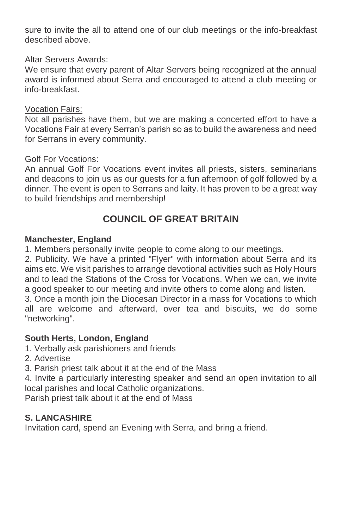sure to invite the all to attend one of our club meetings or the info-breakfast described above.

#### Altar Servers Awards:

We ensure that every parent of Altar Servers being recognized at the annual award is informed about Serra and encouraged to attend a club meeting or info-breakfast.

#### Vocation Fairs:

Not all parishes have them, but we are making a concerted effort to have a Vocations Fair at every Serran's parish so as to build the awareness and need for Serrans in every community.

#### Golf For Vocations:

An annual Golf For Vocations event invites all priests, sisters, seminarians and deacons to join us as our guests for a fun afternoon of golf followed by a dinner. The event is open to Serrans and laity. It has proven to be a great way to build friendships and membership!

### **COUNCIL OF GREAT BRITAIN**

#### **Manchester, England**

1. Members personally invite people to come along to our meetings.

2. Publicity. We have a printed "Flyer" with information about Serra and its aims etc. We visit parishes to arrange devotional activities such as Holy Hours and to lead the Stations of the Cross for Vocations. When we can, we invite a good speaker to our meeting and invite others to come along and listen.

3. Once a month join the Diocesan Director in a mass for Vocations to which all are welcome and afterward, over tea and biscuits, we do some "networking".

#### **South Herts, London, England**

1. Verbally ask parishioners and friends

2. Advertise

3. Parish priest talk about it at the end of the Mass

4. Invite a particularly interesting speaker and send an open invitation to all local parishes and local Catholic organizations.

Parish priest talk about it at the end of Mass

#### **S. LANCASHIRE**

Invitation card, spend an Evening with Serra, and bring a friend.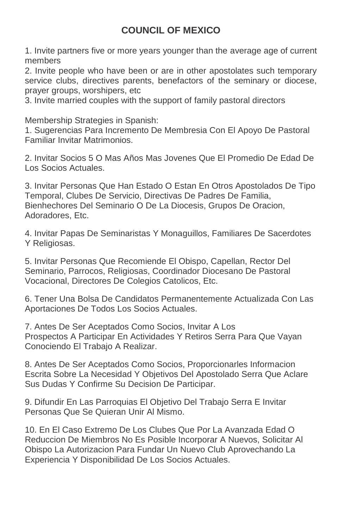### **COUNCIL OF MEXICO**

1. Invite partners five or more years younger than the average age of current members

2. Invite people who have been or are in other apostolates such temporary service clubs, directives parents, benefactors of the seminary or diocese, prayer groups, worshipers, etc

3. Invite married couples with the support of family pastoral directors

Membership Strategies in Spanish:

1. Sugerencias Para Incremento De Membresia Con El Apoyo De Pastoral Familiar Invitar Matrimonios.

2. Invitar Socios 5 O Mas Años Mas Jovenes Que El Promedio De Edad De Los Socios Actuales.

3. Invitar Personas Que Han Estado O Estan En Otros Apostolados De Tipo Temporal, Clubes De Servicio, Directivas De Padres De Familia, Bienhechores Del Seminario O De La Diocesis, Grupos De Oracion, Adoradores, Etc.

4. Invitar Papas De Seminaristas Y Monaguillos, Familiares De Sacerdotes Y Religiosas.

5. Invitar Personas Que Recomiende El Obispo, Capellan, Rector Del Seminario, Parrocos, Religiosas, Coordinador Diocesano De Pastoral Vocacional, Directores De Colegios Catolicos, Etc.

6. Tener Una Bolsa De Candidatos Permanentemente Actualizada Con Las Aportaciones De Todos Los Socios Actuales.

7. Antes De Ser Aceptados Como Socios, Invitar A Los Prospectos A Participar En Actividades Y Retiros Serra Para Que Vayan Conociendo El Trabajo A Realizar.

8. Antes De Ser Aceptados Como Socios, Proporcionarles Informacion Escrita Sobre La Necesidad Y Objetivos Del Apostolado Serra Que Aclare Sus Dudas Y Confirme Su Decision De Participar.

9. Difundir En Las Parroquias El Objetivo Del Trabajo Serra E Invitar Personas Que Se Quieran Unir Al Mismo.

10. En El Caso Extremo De Los Clubes Que Por La Avanzada Edad O Reduccion De Miembros No Es Posible Incorporar A Nuevos, Solicitar Al Obispo La Autorizacion Para Fundar Un Nuevo Club Aprovechando La Experiencia Y Disponibilidad De Los Socios Actuales.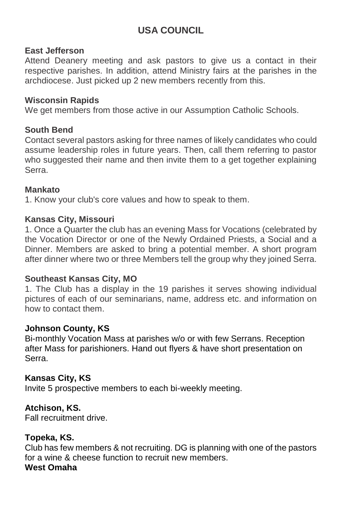### **USA COUNCIL**

#### **East Jefferson**

Attend Deanery meeting and ask pastors to give us a contact in their respective parishes. In addition, attend Ministry fairs at the parishes in the archdiocese. Just picked up 2 new members recently from this.

#### **Wisconsin Rapids**

We get members from those active in our Assumption Catholic Schools.

#### **South Bend**

Contact several pastors asking for three names of likely candidates who could assume leadership roles in future years. Then, call them referring to pastor who suggested their name and then invite them to a get together explaining Serra.

#### **Mankato**

1. Know your club's core values and how to speak to them.

#### **Kansas City, Missouri**

1. Once a Quarter the club has an evening Mass for Vocations (celebrated by the Vocation Director or one of the Newly Ordained Priests, a Social and a Dinner. Members are asked to bring a potential member. A short program after dinner where two or three Members tell the group why they joined Serra.

#### **Southeast Kansas City, MO**

1. The Club has a display in the 19 parishes it serves showing individual pictures of each of our seminarians, name, address etc. and information on how to contact them.

#### **Johnson County, KS**

Bi-monthly Vocation Mass at parishes w/o or with few Serrans. Reception after Mass for parishioners. Hand out flyers & have short presentation on Serra.

#### **Kansas City, KS**

Invite 5 prospective members to each bi-weekly meeting.

#### **Atchison, KS.**

Fall recruitment drive.

#### **Topeka, KS.**

Club has few members & not recruiting. DG is planning with one of the pastors for a wine & cheese function to recruit new members. **West Omaha**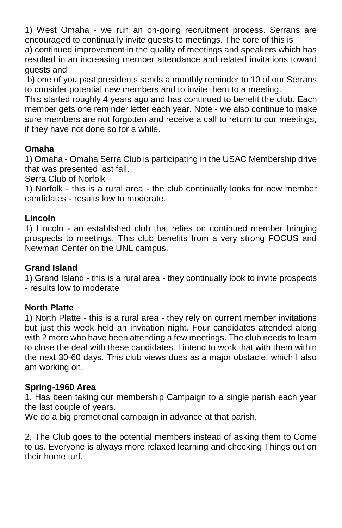1) West Omaha - we run an on-going recruitment process. Serrans are encouraged to continually invite guests to meetings. The core of this is

a) continued improvement in the quality of meetings and speakers which has resulted in an increasing member attendance and related invitations toward guests and

b) one of you past presidents sends a monthly reminder to 10 of our Serrans to consider potential new members and to invite them to a meeting.

This started roughly 4 years ago and has continued to benefit the club. Each member gets one reminder letter each year. Note - we also continue to make sure members are not forgotten and receive a call to return to our meetings, if they have not done so for a while.

#### **Omaha**

1) Omaha - Omaha Serra Club is participating in the USAC Membership drive that was presented last fall.

Serra Club of Norfolk

1) Norfolk - this is a rural area - the club continually looks for new member candidates - results low to moderate.

#### **Lincoln**

1) Lincoln - an established club that relies on continued member bringing prospects to meetings. This club benefits from a very strong FOCUS and Newman Center on the UNL campus.

#### **Grand Island**

1) Grand Island - this is a rural area - they continually look to invite prospects - results low to moderate

#### **North Platte**

1) North Platte - this is a rural area - they rely on current member invitations but just this week held an invitation night. Four candidates attended along with 2 more who have been attending a few meetings. The club needs to learn to close the deal with these candidates. I intend to work that with them within the next 30-60 days. This club views dues as a major obstacle, which I also am working on.

#### **Spring-1960 Area**

1. Has been taking our membership Campaign to a single parish each year the last couple of years.

We do a big promotional campaign in advance at that parish.

2. The Club goes to the potential members instead of asking them to Come to us. Everyone is always more relaxed learning and checking Things out on their home turf.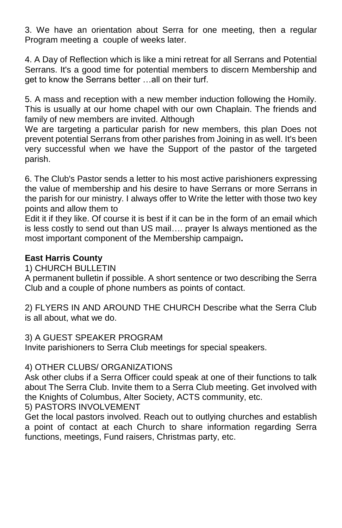3. We have an orientation about Serra for one meeting, then a regular Program meeting a couple of weeks later.

4. A Day of Reflection which is like a mini retreat for all Serrans and Potential Serrans. It's a good time for potential members to discern Membership and get to know the Serrans better …all on their turf.

5. A mass and reception with a new member induction following the Homily. This is usually at our home chapel with our own Chaplain. The friends and family of new members are invited. Although

We are targeting a particular parish for new members, this plan Does not prevent potential Serrans from other parishes from Joining in as well. It's been very successful when we have the Support of the pastor of the targeted parish.

6. The Club's Pastor sends a letter to his most active parishioners expressing the value of membership and his desire to have Serrans or more Serrans in the parish for our ministry. I always offer to Write the letter with those two key points and allow them to

Edit it if they like. Of course it is best if it can be in the form of an email which is less costly to send out than US mail…. prayer Is always mentioned as the most important component of the Membership campaign**.**

#### **East Harris County**

#### 1) CHURCH BULLETIN

A permanent bulletin if possible. A short sentence or two describing the Serra Club and a couple of phone numbers as points of contact.

2) FLYERS IN AND AROUND THE CHURCH Describe what the Serra Club is all about, what we do.

#### 3) A GUEST SPEAKER PROGRAM

Invite parishioners to Serra Club meetings for special speakers.

#### 4) OTHER CLUBS/ ORGANIZATIONS

Ask other clubs if a Serra Officer could speak at one of their functions to talk about The Serra Club. Invite them to a Serra Club meeting. Get involved with the Knights of Columbus, Alter Society, ACTS community, etc.

#### 5) PASTORS INVOLVEMENT

Get the local pastors involved. Reach out to outlying churches and establish a point of contact at each Church to share information regarding Serra functions, meetings, Fund raisers, Christmas party, etc.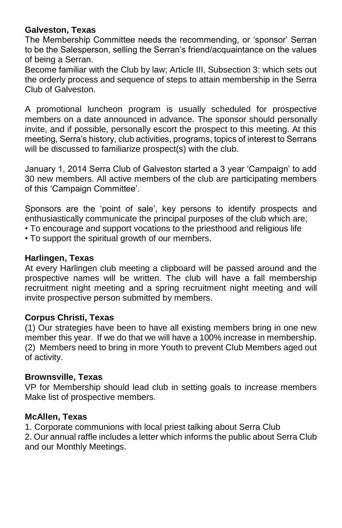#### **Galveston, Texas**

The Membership Committee needs the recommending, or 'sponsor' Serran to be the Salesperson, selling the Serran's friend/acquaintance on the values of being a Serran.

Become familiar with the Club by law; Article III, Subsection 3: which sets out the orderly process and sequence of steps to attain membership in the Serra Club of Galveston.

A promotional luncheon program is usually scheduled for prospective members on a date announced in advance. The sponsor should personally invite, and if possible, personally escort the prospect to this meeting. At this meeting, Serra's history, club activities, programs, topics of interest to Serrans will be discussed to familiarize prospect(s) with the club.

January 1, 2014 Serra Club of Galveston started a 3 year 'Campaign' to add 30 new members. All active members of the club are participating members of this 'Campaign Committee'.

Sponsors are the 'point of sale', key persons to identify prospects and enthusiastically communicate the principal purposes of the club which are;

- To encourage and support vocations to the priesthood and religious life
- To support the spiritual growth of our members.

#### **Harlingen, Texas**

At every Harlingen club meeting a clipboard will be passed around and the prospective names will be written. The club will have a fall membership recruitment night meeting and a spring recruitment night meeting and will invite prospective person submitted by members.

#### **Corpus Christi, Texas**

(1) Our strategies have been to have all existing members bring in one new member this year. If we do that we will have a 100% increase in membership. (2) Members need to bring in more Youth to prevent Club Members aged out of activity.

#### **Brownsville, Texas**

VP for Membership should lead club in setting goals to increase members Make list of prospective members.

#### **McAllen, Texas**

1. Corporate communions with local priest talking about Serra Club

2. Our annual raffle includes a letter which informs the public about Serra Club and our Monthly Meetings.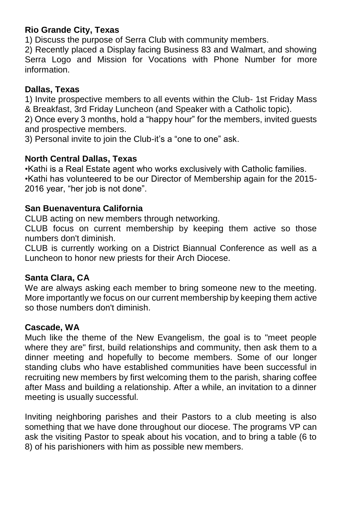#### **Rio Grande City, Texas**

1) Discuss the purpose of Serra Club with community members.

2) Recently placed a Display facing Business 83 and Walmart, and showing Serra Logo and Mission for Vocations with Phone Number for more information.

#### **Dallas, Texas**

1) Invite prospective members to all events within the Club- 1st Friday Mass & Breakfast, 3rd Friday Luncheon (and Speaker with a Catholic topic).

2) Once every 3 months, hold a "happy hour" for the members, invited guests and prospective members.

3) Personal invite to join the Club-it's a "one to one" ask.

#### **North Central Dallas, Texas**

•Kathi is a Real Estate agent who works exclusively with Catholic families. •Kathi has volunteered to be our Director of Membership again for the 2015- 2016 year, "her job is not done".

#### **San Buenaventura California**

CLUB acting on new members through networking.

CLUB focus on current membership by keeping them active so those numbers don't diminish.

CLUB is currently working on a District Biannual Conference as well as a Luncheon to honor new priests for their Arch Diocese.

#### **Santa Clara, CA**

We are always asking each member to bring someone new to the meeting. More importantly we focus on our current membership by keeping them active so those numbers don't diminish.

#### **Cascade, WA**

Much like the theme of the New Evangelism, the goal is to "meet people where they are" first, build relationships and community, then ask them to a dinner meeting and hopefully to become members. Some of our longer standing clubs who have established communities have been successful in recruiting new members by first welcoming them to the parish, sharing coffee after Mass and building a relationship. After a while, an invitation to a dinner meeting is usually successful.

Inviting neighboring parishes and their Pastors to a club meeting is also something that we have done throughout our diocese. The programs VP can ask the visiting Pastor to speak about his vocation, and to bring a table (6 to 8) of his parishioners with him as possible new members.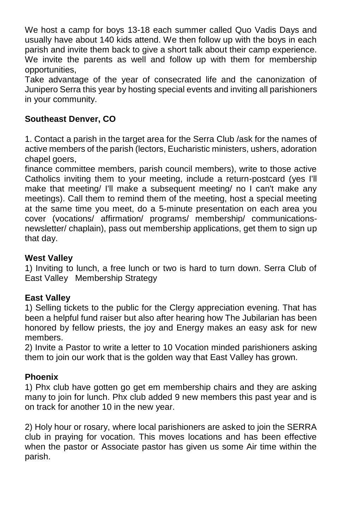We host a camp for boys 13-18 each summer called Quo Vadis Days and usually have about 140 kids attend. We then follow up with the boys in each parish and invite them back to give a short talk about their camp experience. We invite the parents as well and follow up with them for membership opportunities,

Take advantage of the year of consecrated life and the canonization of Junipero Serra this year by hosting special events and inviting all parishioners in your community.

#### **Southeast Denver, CO**

1. Contact a parish in the target area for the Serra Club /ask for the names of active members of the parish (lectors, Eucharistic ministers, ushers, adoration chapel goers,

finance committee members, parish council members), write to those active Catholics inviting them to your meeting, include a return-postcard (yes I'll make that meeting/ I'll make a subsequent meeting/ no I can't make any meetings). Call them to remind them of the meeting, host a special meeting at the same time you meet, do a 5-minute presentation on each area you cover (vocations/ affirmation/ programs/ membership/ communicationsnewsletter/ chaplain), pass out membership applications, get them to sign up that day.

#### **West Valley**

1) Inviting to lunch, a free lunch or two is hard to turn down. Serra Club of East Valley Membership Strategy

#### **East Valley**

1) Selling tickets to the public for the Clergy appreciation evening. That has been a helpful fund raiser but also after hearing how The Jubilarian has been honored by fellow priests, the joy and Energy makes an easy ask for new members.

2) Invite a Pastor to write a letter to 10 Vocation minded parishioners asking them to join our work that is the golden way that East Valley has grown.

#### **Phoenix**

1) Phx club have gotten go get em membership chairs and they are asking many to join for lunch. Phx club added 9 new members this past year and is on track for another 10 in the new year.

2) Holy hour or rosary, where local parishioners are asked to join the SERRA club in praying for vocation. This moves locations and has been effective when the pastor or Associate pastor has given us some Air time within the parish.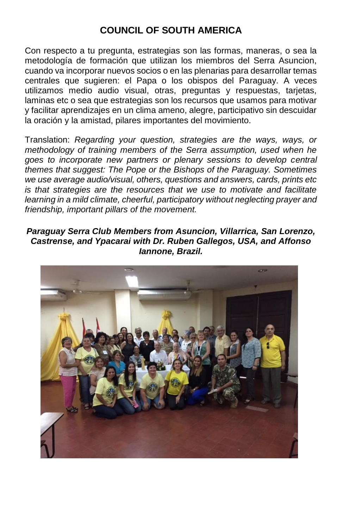### **COUNCIL OF SOUTH AMERICA**

Con respecto a tu pregunta, estrategias son las formas, maneras, o sea la metodología de formación que utilizan los miembros del Serra Asuncion, cuando va incorporar nuevos socios o en las plenarias para desarrollar temas centrales que sugieren: el Papa o los obispos del Paraguay. A veces utilizamos medio audio visual, otras, preguntas y respuestas, tarjetas, laminas etc o sea que estrategias son los recursos que usamos para motivar y facilitar aprendizajes en un clima ameno, alegre, participativo sin descuidar la oración y la amistad, pilares importantes del movimiento.

Translation: *Regarding your question, strategies are the ways, ways, or methodology of training members of the Serra assumption, used when he goes to incorporate new partners or plenary sessions to develop central themes that suggest: The Pope or the Bishops of the Paraguay. Sometimes we use average audio/visual, others, questions and answers, cards, prints etc is that strategies are the resources that we use to motivate and facilitate learning in a mild climate, cheerful, participatory without neglecting prayer and friendship, important pillars of the movement.*

#### *Paraguay Serra Club Members from Asuncion, Villarrica, San Lorenzo, Castrense, and Ypacarai with Dr. Ruben Gallegos, USA, and Affonso Iannone, Brazil.*

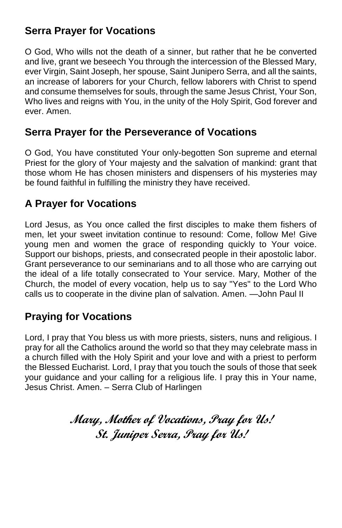### **Serra Prayer for Vocations**

O God, Who wills not the death of a sinner, but rather that he be converted and live, grant we beseech You through the intercession of the Blessed Mary, ever Virgin, Saint Joseph, her spouse, Saint Junipero Serra, and all the saints, an increase of laborers for your Church, fellow laborers with Christ to spend and consume themselves for souls, through the same Jesus Christ, Your Son, Who lives and reigns with You, in the unity of the Holy Spirit, God forever and ever. Amen.

### **Serra Prayer for the Perseverance of Vocations**

O God, You have constituted Your only-begotten Son supreme and eternal Priest for the glory of Your majesty and the salvation of mankind: grant that those whom He has chosen ministers and dispensers of his mysteries may be found faithful in fulfilling the ministry they have received.

### **A Prayer for Vocations**

Lord Jesus, as You once called the first disciples to make them fishers of men, let your sweet invitation continue to resound: Come, follow Me! Give young men and women the grace of responding quickly to Your voice. Support our bishops, priests, and consecrated people in their apostolic labor. Grant perseverance to our seminarians and to all those who are carrying out the ideal of a life totally consecrated to Your service. Mary, Mother of the Church, the model of every vocation, help us to say "Yes" to the Lord Who calls us to cooperate in the divine plan of salvation. Amen. —John Paul II

### **Praying for Vocations**

Lord, I pray that You bless us with more priests, sisters, nuns and religious. I pray for all the Catholics around the world so that they may celebrate mass in a church filled with the Holy Spirit and your love and with a priest to perform the Blessed Eucharist. Lord, I pray that you touch the souls of those that seek your guidance and your calling for a religious life. I pray this in Your name, Jesus Christ. Amen. – Serra Club of Harlingen

> **Mary, Mother of Vocations, Pray for Us! St. Juniper Serra, Pray for Us!**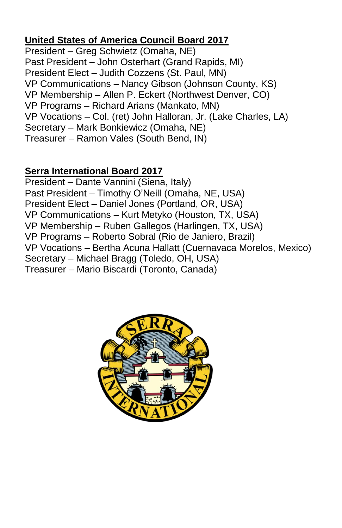### **United States of America Council Board 2017**

President – Greg Schwietz (Omaha, NE) Past President – John Osterhart (Grand Rapids, MI) President Elect – Judith Cozzens (St. Paul, MN) VP Communications – Nancy Gibson (Johnson County, KS) VP Membership – Allen P. Eckert (Northwest Denver, CO) VP Programs – Richard Arians (Mankato, MN) VP Vocations – Col. (ret) John Halloran, Jr. (Lake Charles, LA) Secretary – Mark Bonkiewicz (Omaha, NE) Treasurer – Ramon Vales (South Bend, IN)

### **Serra International Board 2017**

President – Dante Vannini (Siena, Italy) Past President – Timothy O'Neill (Omaha, NE, USA) President Elect – Daniel Jones (Portland, OR, USA) VP Communications – Kurt Metyko (Houston, TX, USA) VP Membership – Ruben Gallegos (Harlingen, TX, USA) VP Programs – Roberto Sobral (Rio de Janiero, Brazil) VP Vocations – Bertha Acuna Hallatt (Cuernavaca Morelos, Mexico) Secretary – Michael Bragg (Toledo, OH, USA) Treasurer – Mario Biscardi (Toronto, Canada)